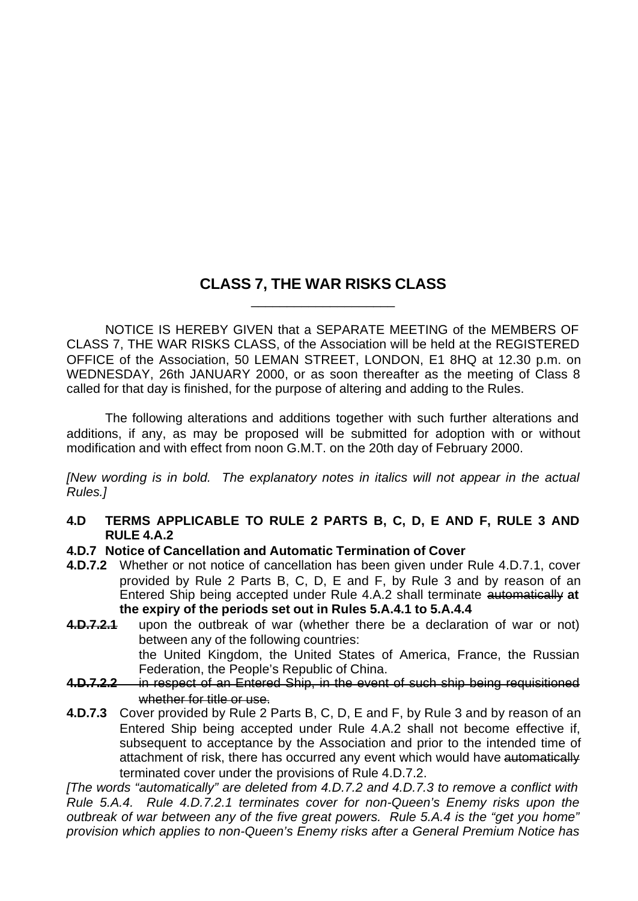## **CLASS 7, THE WAR RISKS CLASS** \_\_\_\_\_\_\_\_\_\_\_\_\_\_\_\_\_\_\_\_

NOTICE IS HEREBY GIVEN that a SEPARATE MEETING of the MEMBERS OF CLASS 7, THE WAR RISKS CLASS, of the Association will be held at the REGISTERED OFFICE of the Association, 50 LEMAN STREET, LONDON, E1 8HQ at 12.30 p.m. on WEDNESDAY, 26th JANUARY 2000, or as soon thereafter as the meeting of Class 8 called for that day is finished, for the purpose of altering and adding to the Rules.

The following alterations and additions together with such further alterations and additions, if any, as may be proposed will be submitted for adoption with or without modification and with effect from noon G.M.T. on the 20th day of February 2000.

*[New wording is in bold. The explanatory notes in italics will not appear in the actual Rules.]*

- **4.D TERMS APPLICABLE TO RULE 2 PARTS B, C, D, E AND F, RULE 3 AND RULE 4.A.2**
- **4.D.7 Notice of Cancellation and Automatic Termination of Cover**
- **4.D.7.2** Whether or not notice of cancellation has been given under Rule 4.D.7.1, cover provided by Rule 2 Parts B, C, D, E and F, by Rule 3 and by reason of an Entered Ship being accepted under Rule 4.A.2 shall terminate automatically **at the expiry of the periods set out in Rules 5.A.4.1 to 5.A.4.4**
- **4.D.7.2.1** upon the outbreak of war (whether there be a declaration of war or not) between any of the following countries: the United Kingdom, the United States of America, France, the Russian
	- Federation, the People's Republic of China.
- **4.D.7.2.2** in respect of an Entered Ship, in the event of such ship being requisitioned whether for title or use.
- **4.D.7.3** Cover provided by Rule 2 Parts B, C, D, E and F, by Rule 3 and by reason of an Entered Ship being accepted under Rule 4.A.2 shall not become effective if, subsequent to acceptance by the Association and prior to the intended time of attachment of risk, there has occurred any event which would have automatically terminated cover under the provisions of Rule 4.D.7.2.

*[The words "automatically" are deleted from 4.D.7.2 and 4.D.7.3 to remove a conflict with Rule 5.A.4. Rule 4.D.7.2.1 terminates cover for non-Queen's Enemy risks upon the outbreak of war between any of the five great powers. Rule 5.A.4 is the "get you home" provision which applies to non-Queen's Enemy risks after a General Premium Notice has*